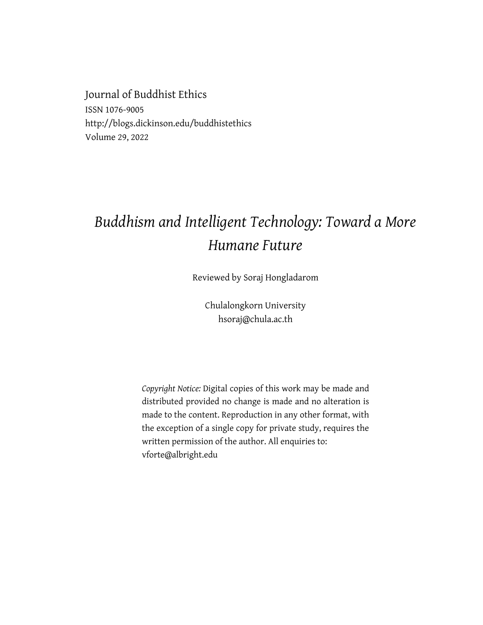Journal of Buddhist Ethics ISSN 1076-9005 http://blogs.dickinson.edu/buddhistethics Volume 29, 2022

## *Buddhism and Intelligent Technology: Toward a More Humane Future*

Reviewed by Soraj Hongladarom

Chulalongkorn University hsoraj@chula.ac.th

*Copyright Notice:* Digital copies of this work may be made and distributed provided no change is made and no alteration is made to the content. Reproduction in any other format, with the exception of a single copy for private study, requires the written permission of the author. All enquiries to: vforte@albright.edu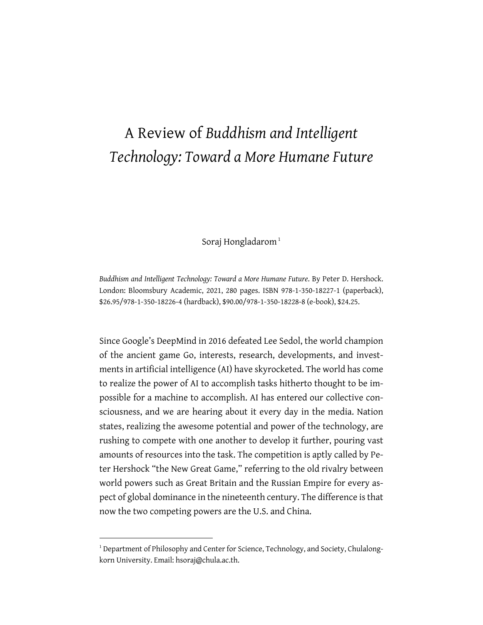## A Review of *Buddhism and Intelligent Technology: Toward a More Humane Future*

Soraj Hongladarom<sup>1</sup>

*Buddhism and Intelligent Technology: Toward a More Humane Future*. By Peter D. Hershock. London: Bloomsbury Academic, 2021, 280 pages. ISBN 978-1-350-18227-1 (paperback), \$26.95/978-1-350-18226-4 (hardback), \$90.00/978-1-350-18228-8 (e-book), \$24.25.

Since Google's DeepMind in 2016 defeated Lee Sedol, the world champion of the ancient game Go, interests, research, developments, and investments in artificial intelligence (AI) have skyrocketed. The world has come to realize the power of AI to accomplish tasks hitherto thought to be impossible for a machine to accomplish. AI has entered our collective consciousness, and we are hearing about it every day in the media. Nation states, realizing the awesome potential and power of the technology, are rushing to compete with one another to develop it further, pouring vast amounts of resources into the task. The competition is aptly called by Peter Hershock "the New Great Game," referring to the old rivalry between world powers such as Great Britain and the Russian Empire for every aspect of global dominance in the nineteenth century. The difference isthat now the two competing powers are the U.S. and China.

<sup>&</sup>lt;sup>1</sup> Department of Philosophy and Center for Science, Technology, and Society, Chulalongkorn University. Email: hsoraj@chula.ac.th.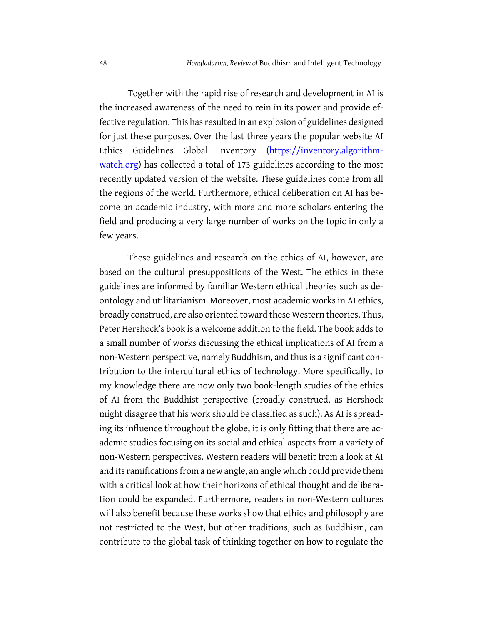Together with the rapid rise of research and development in AI is the increased awareness of the need to rein in its power and provide effective regulation. This has resulted in an explosion of guidelines designed for just these purposes. Over the last three years the popular website AI Ethics Guidelines Global Inventory (https://inventory.algorithmwatch.org) has collected a total of 173 guidelines according to the most recently updated version of the website. These guidelines come from all the regions of the world. Furthermore, ethical deliberation on AI has become an academic industry, with more and more scholars entering the field and producing a very large number of works on the topic in only a few years.

These guidelines and research on the ethics of AI, however, are based on the cultural presuppositions of the West. The ethics in these guidelines are informed by familiar Western ethical theories such as deontology and utilitarianism. Moreover, most academic works in AI ethics, broadly construed, are also oriented toward these Western theories. Thus, Peter Hershock's book is a welcome addition to the field. The book adds to a small number of works discussing the ethical implications of AI from a non-Western perspective, namely Buddhism, and thus is a significant contribution to the intercultural ethics of technology. More specifically, to my knowledge there are now only two book-length studies of the ethics of AI from the Buddhist perspective (broadly construed, as Hershock might disagree that his work should be classified as such). As AI is spreading its influence throughout the globe, it is only fitting that there are academic studies focusing on its social and ethical aspects from a variety of non-Western perspectives. Western readers will benefit from a look at AI and its ramifications from a new angle, an angle which could provide them with a critical look at how their horizons of ethical thought and deliberation could be expanded. Furthermore, readers in non-Western cultures will also benefit because these works show that ethics and philosophy are not restricted to the West, but other traditions, such as Buddhism, can contribute to the global task of thinking together on how to regulate the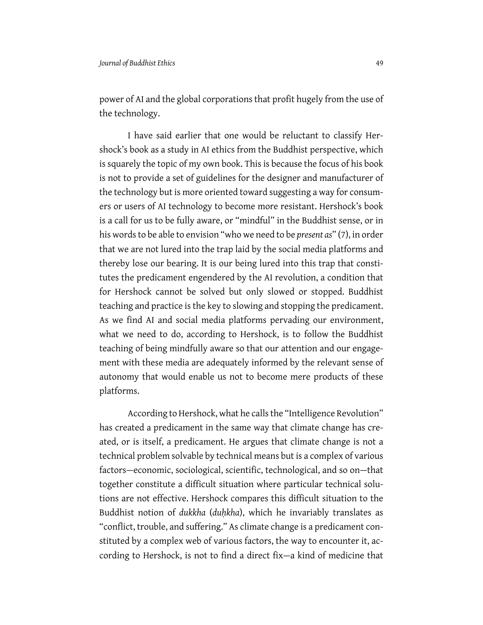power of AI and the global corporations that profit hugely from the use of the technology.

I have said earlier that one would be reluctant to classify Hershock's book as a study in AI ethics from the Buddhist perspective, which is squarely the topic of my own book. This is because the focus of his book is not to provide a set of guidelines for the designer and manufacturer of the technology but is more oriented toward suggesting a way for consumers or users of AI technology to become more resistant. Hershock's book is a call for us to be fully aware, or "mindful" in the Buddhist sense, or in his words to be able to envision "who we need to be *present as*" (7), in order that we are not lured into the trap laid by the social media platforms and thereby lose our bearing. It is our being lured into this trap that constitutes the predicament engendered by the AI revolution, a condition that for Hershock cannot be solved but only slowed or stopped. Buddhist teaching and practice is the key to slowing and stopping the predicament. As we find AI and social media platforms pervading our environment, what we need to do, according to Hershock, is to follow the Buddhist teaching of being mindfully aware so that our attention and our engagement with these media are adequately informed by the relevant sense of autonomy that would enable us not to become mere products of these platforms.

According to Hershock, what he calls the "Intelligence Revolution" has created a predicament in the same way that climate change has created, or is itself, a predicament. He argues that climate change is not a technical problem solvable by technical means but is a complex of various factors—economic, sociological, scientific, technological, and so on—that together constitute a difficult situation where particular technical solutions are not effective. Hershock compares this difficult situation to the Buddhist notion of *dukkha* (*duḥkha*), which he invariably translates as "conflict, trouble, and suffering." As climate change is a predicament constituted by a complex web of various factors, the way to encounter it, according to Hershock, is not to find a direct fix—a kind of medicine that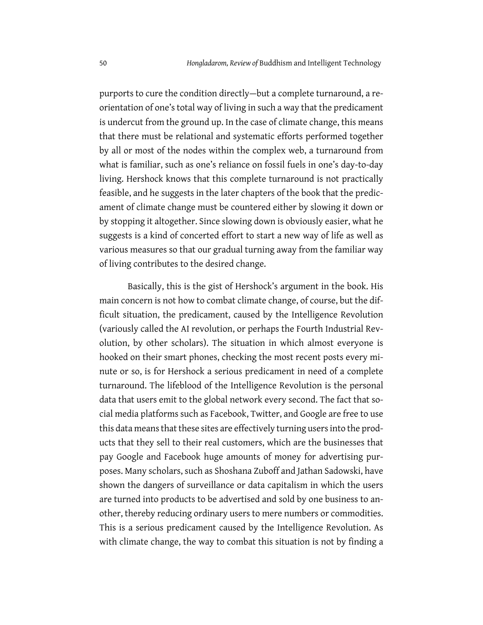purports to cure the condition directly—but a complete turnaround, a reorientation of one's total way of living in such a way that the predicament is undercut from the ground up. In the case of climate change, this means that there must be relational and systematic efforts performed together by all or most of the nodes within the complex web, a turnaround from what is familiar, such as one's reliance on fossil fuels in one's day-to-day living. Hershock knows that this complete turnaround is not practically feasible, and he suggests in the later chapters of the book that the predicament of climate change must be countered either by slowing it down or by stopping it altogether. Since slowing down is obviously easier, what he suggests is a kind of concerted effort to start a new way of life as well as various measures so that our gradual turning away from the familiar way of living contributes to the desired change.

Basically, this is the gist of Hershock's argument in the book. His main concern is not how to combat climate change, of course, but the difficult situation, the predicament, caused by the Intelligence Revolution (variously called the AI revolution, or perhaps the Fourth Industrial Revolution, by other scholars). The situation in which almost everyone is hooked on their smart phones, checking the most recent posts every minute or so, is for Hershock a serious predicament in need of a complete turnaround. The lifeblood of the Intelligence Revolution is the personal data that users emit to the global network every second. The fact that social media platforms such as Facebook, Twitter, and Google are free to use this data meansthat these sites are effectively turning users into the products that they sell to their real customers, which are the businesses that pay Google and Facebook huge amounts of money for advertising purposes. Many scholars, such as Shoshana Zuboff and Jathan Sadowski, have shown the dangers of surveillance or data capitalism in which the users are turned into products to be advertised and sold by one business to another, thereby reducing ordinary users to mere numbers or commodities. This is a serious predicament caused by the Intelligence Revolution. As with climate change, the way to combat this situation is not by finding a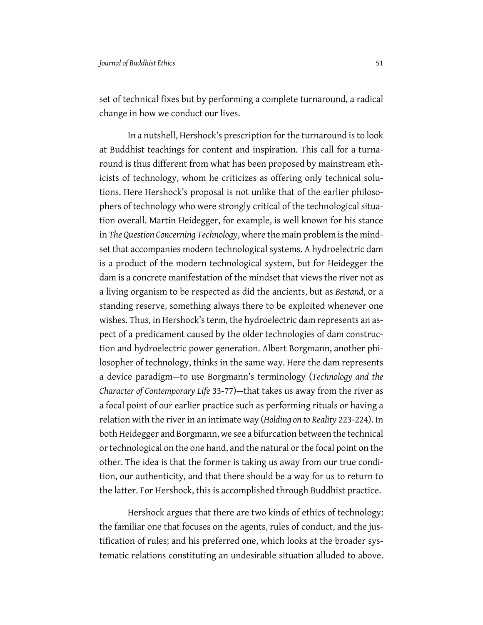set of technical fixes but by performing a complete turnaround, a radical change in how we conduct our lives.

In a nutshell, Hershock's prescription for the turnaround is to look at Buddhist teachings for content and inspiration. This call for a turnaround is thus different from what has been proposed by mainstream ethicists of technology, whom he criticizes as offering only technical solutions. Here Hershock's proposal is not unlike that of the earlier philosophers of technology who were strongly critical of the technological situation overall. Martin Heidegger, for example, is well known for his stance in *The Question Concerning Technology*, where the main problem is the mindset that accompanies modern technological systems. A hydroelectric dam is a product of the modern technological system, but for Heidegger the dam is a concrete manifestation of the mindset that views the river not as a living organism to be respected as did the ancients, but as *Bestand*, or a standing reserve, something always there to be exploited whenever one wishes. Thus, in Hershock's term, the hydroelectric dam represents an aspect of a predicament caused by the older technologies of dam construction and hydroelectric power generation. Albert Borgmann, another philosopher of technology, thinks in the same way. Here the dam represents a device paradigm—to use Borgmann's terminology (*Technology and the Character of Contemporary Life* 33-77)—that takes us away from the river as a focal point of our earlier practice such as performing rituals or having a relation with the river in an intimate way (*Holding on to Reality* 223-224). In both Heidegger and Borgmann, we see a bifurcation between the technical or technological on the one hand, and the natural or the focal point on the other. The idea is that the former is taking us away from our true condition, our authenticity, and that there should be a way for us to return to the latter. For Hershock, this is accomplished through Buddhist practice.

Hershock argues that there are two kinds of ethics of technology: the familiar one that focuses on the agents, rules of conduct, and the justification of rules; and his preferred one, which looks at the broader systematic relations constituting an undesirable situation alluded to above.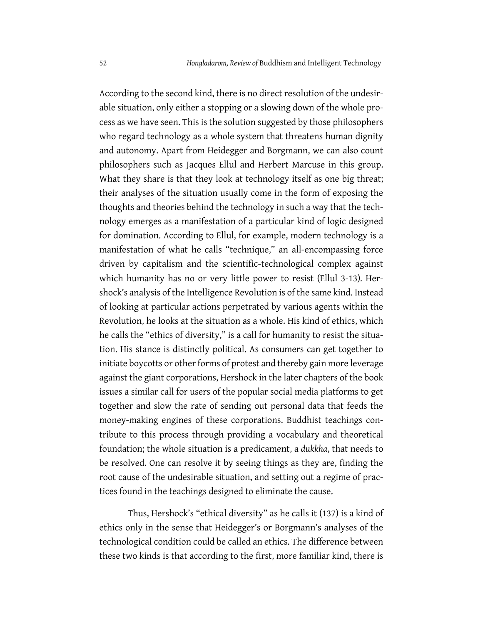According to the second kind, there is no direct resolution of the undesirable situation, only either a stopping or a slowing down of the whole process as we have seen. This is the solution suggested by those philosophers who regard technology as a whole system that threatens human dignity and autonomy. Apart from Heidegger and Borgmann, we can also count philosophers such as Jacques Ellul and Herbert Marcuse in this group. What they share is that they look at technology itself as one big threat; their analyses of the situation usually come in the form of exposing the thoughts and theories behind the technology in such a way that the technology emerges as a manifestation of a particular kind of logic designed for domination. According to Ellul, for example, modern technology is a manifestation of what he calls "technique," an all-encompassing force driven by capitalism and the scientific-technological complex against which humanity has no or very little power to resist (Ellul 3-13)*.* Hershock's analysis of the Intelligence Revolution is of the same kind. Instead of looking at particular actions perpetrated by various agents within the Revolution, he looks at the situation as a whole. His kind of ethics, which he calls the "ethics of diversity," is a call for humanity to resist the situation. His stance is distinctly political. As consumers can get together to initiate boycotts or other forms of protest and thereby gain more leverage against the giant corporations, Hershock in the later chapters of the book issues a similar call for users of the popular social media platforms to get together and slow the rate of sending out personal data that feeds the money-making engines of these corporations. Buddhist teachings contribute to this process through providing a vocabulary and theoretical foundation; the whole situation is a predicament, a *dukkha*, that needs to be resolved. One can resolve it by seeing things as they are, finding the root cause of the undesirable situation, and setting out a regime of practices found in the teachings designed to eliminate the cause.

Thus, Hershock's "ethical diversity" as he calls it (137) is a kind of ethics only in the sense that Heidegger's or Borgmann's analyses of the technological condition could be called an ethics. The difference between these two kinds is that according to the first, more familiar kind, there is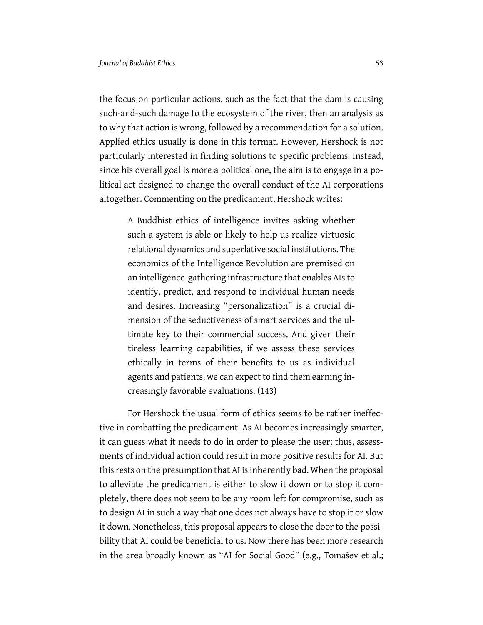the focus on particular actions, such as the fact that the dam is causing such-and-such damage to the ecosystem of the river, then an analysis as to why that action is wrong, followed by a recommendation for a solution. Applied ethics usually is done in this format. However, Hershock is not particularly interested in finding solutions to specific problems. Instead, since his overall goal is more a political one, the aim is to engage in a political act designed to change the overall conduct of the AI corporations altogether. Commenting on the predicament, Hershock writes:

> A Buddhist ethics of intelligence invites asking whether such a system is able or likely to help us realize virtuosic relational dynamics and superlative social institutions. The economics of the Intelligence Revolution are premised on an intelligence-gathering infrastructure that enables AIs to identify, predict, and respond to individual human needs and desires. Increasing "personalization" is a crucial dimension of the seductiveness of smart services and the ultimate key to their commercial success. And given their tireless learning capabilities, if we assess these services ethically in terms of their benefits to us as individual agents and patients, we can expect to find them earning increasingly favorable evaluations. (143)

For Hershock the usual form of ethics seems to be rather ineffective in combatting the predicament. As AI becomes increasingly smarter, it can guess what it needs to do in order to please the user; thus, assessments of individual action could result in more positive results for AI. But this rests on the presumption that AI is inherently bad. When the proposal to alleviate the predicament is either to slow it down or to stop it completely, there does not seem to be any room left for compromise, such as to design AI in such a way that one does not always have to stop it or slow it down. Nonetheless, this proposal appears to close the door to the possibility that AI could be beneficial to us. Now there has been more research in the area broadly known as "AI for Social Good" (e.g., Tomašev et al.;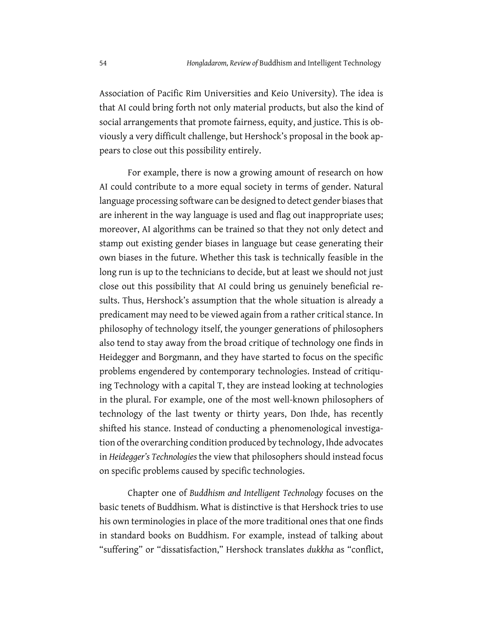Association of Pacific Rim Universities and Keio University). The idea is that AI could bring forth not only material products, but also the kind of social arrangements that promote fairness, equity, and justice. This is obviously a very difficult challenge, but Hershock's proposal in the book appears to close out this possibility entirely.

For example, there is now a growing amount of research on how AI could contribute to a more equal society in terms of gender. Natural language processing software can be designed to detect gender biases that are inherent in the way language is used and flag out inappropriate uses; moreover, AI algorithms can be trained so that they not only detect and stamp out existing gender biases in language but cease generating their own biases in the future. Whether this task is technically feasible in the long run is up to the technicians to decide, but at least we should not just close out this possibility that AI could bring us genuinely beneficial results. Thus, Hershock's assumption that the whole situation is already a predicament may need to be viewed again from a rather critical stance. In philosophy of technology itself, the younger generations of philosophers also tend to stay away from the broad critique of technology one finds in Heidegger and Borgmann, and they have started to focus on the specific problems engendered by contemporary technologies. Instead of critiquing Technology with a capital T, they are instead looking at technologies in the plural. For example, one of the most well-known philosophers of technology of the last twenty or thirty years, Don Ihde, has recently shifted his stance. Instead of conducting a phenomenological investigation of the overarching condition produced by technology, Ihde advocates in *Heidegger's Technologies* the view that philosophers should instead focus on specific problems caused by specific technologies.

Chapter one of *Buddhism and Intelligent Technology* focuses on the basic tenets of Buddhism. What is distinctive is that Hershock tries to use his own terminologies in place of the more traditional ones that one finds in standard books on Buddhism. For example, instead of talking about "suffering" or "dissatisfaction," Hershock translates *dukkha* as "conflict,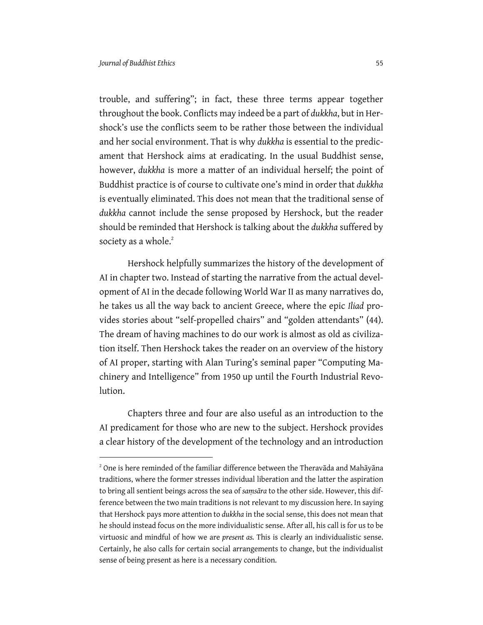trouble, and suffering"; in fact, these three terms appear together throughout the book. Conflicts may indeed be a part of *dukkha*, but in Hershock's use the conflicts seem to be rather those between the individual and her social environment. That is why *dukkha* is essential to the predicament that Hershock aims at eradicating. In the usual Buddhist sense, however, *dukkha* is more a matter of an individual herself; the point of Buddhist practice is of course to cultivate one's mind in order that *dukkha* is eventually eliminated. This does not mean that the traditional sense of *dukkha* cannot include the sense proposed by Hershock, but the reader should be reminded that Hershock is talking about the *dukkha* suffered by society as a whole. $2$ 

Hershock helpfully summarizes the history of the development of AI in chapter two. Instead of starting the narrative from the actual development of AI in the decade following World War II as many narratives do, he takes us all the way back to ancient Greece, where the epic *Iliad* provides stories about "self-propelled chairs" and "golden attendants" (44). The dream of having machines to do our work is almost as old as civilization itself. Then Hershock takes the reader on an overview of the history of AI proper, starting with Alan Turing's seminal paper "Computing Machinery and Intelligence" from 1950 up until the Fourth Industrial Revolution.

Chapters three and four are also useful as an introduction to the AI predicament for those who are new to the subject. Hershock provides a clear history of the development of the technology and an introduction

<sup>&</sup>lt;sup>2</sup> One is here reminded of the familiar difference between the Theravāda and Mahāyāna traditions, where the former stresses individual liberation and the latter the aspiration to bring all sentient beings across the sea of *saṃsāra* to the other side. However, this difference between the two main traditions is not relevant to my discussion here. In saying that Hershock pays more attention to *dukkha* in the social sense, this does not mean that he should instead focus on the more individualistic sense. After all, his call is for us to be virtuosic and mindful of how we are *present as.* This is clearly an individualistic sense. Certainly, he also calls for certain social arrangements to change, but the individualist sense of being present as here is a necessary condition.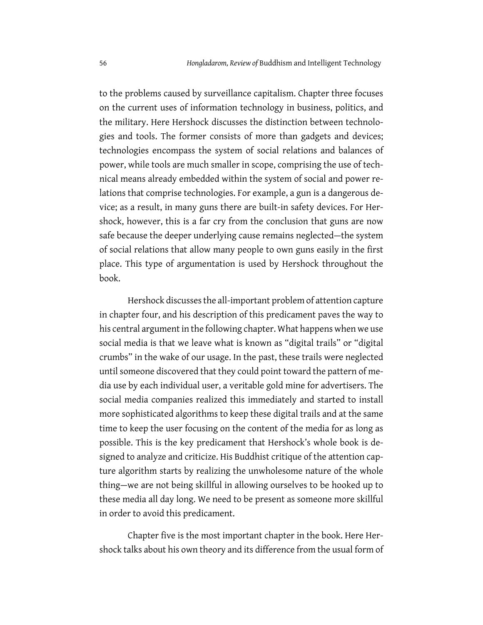to the problems caused by surveillance capitalism. Chapter three focuses on the current uses of information technology in business, politics, and the military. Here Hershock discusses the distinction between technologies and tools. The former consists of more than gadgets and devices; technologies encompass the system of social relations and balances of power, while tools are much smaller in scope, comprising the use of technical means already embedded within the system of social and power relations that comprise technologies. For example, a gun is a dangerous device; as a result, in many guns there are built-in safety devices. For Hershock, however, this is a far cry from the conclusion that guns are now safe because the deeper underlying cause remains neglected—the system of social relations that allow many people to own guns easily in the first place. This type of argumentation is used by Hershock throughout the book.

Hershock discusses the all-important problem of attention capture in chapter four, and his description of this predicament paves the way to his central argument in the following chapter. What happens when we use social media is that we leave what is known as "digital trails" or "digital crumbs" in the wake of our usage. In the past, these trails were neglected until someone discovered that they could point toward the pattern of media use by each individual user, a veritable gold mine for advertisers. The social media companies realized this immediately and started to install more sophisticated algorithms to keep these digital trails and at the same time to keep the user focusing on the content of the media for as long as possible. This is the key predicament that Hershock's whole book is designed to analyze and criticize. His Buddhist critique of the attention capture algorithm starts by realizing the unwholesome nature of the whole thing—we are not being skillful in allowing ourselves to be hooked up to these media all day long. We need to be present as someone more skillful in order to avoid this predicament.

Chapter five is the most important chapter in the book. Here Hershock talks about his own theory and its difference from the usual form of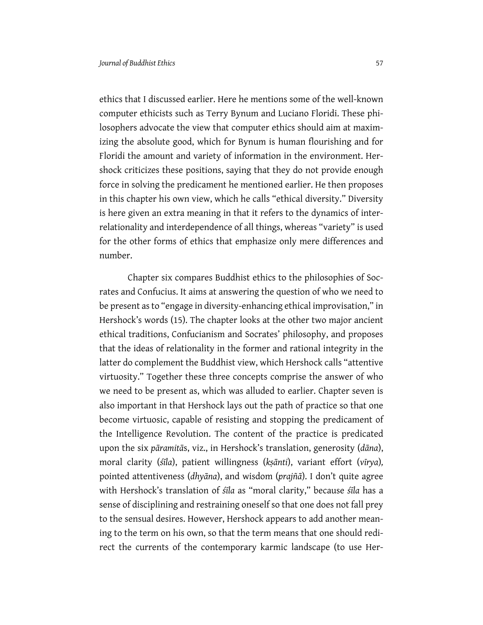ethics that I discussed earlier. Here he mentions some of the well-known computer ethicists such as Terry Bynum and Luciano Floridi. These philosophers advocate the view that computer ethics should aim at maximizing the absolute good, which for Bynum is human flourishing and for Floridi the amount and variety of information in the environment. Hershock criticizes these positions, saying that they do not provide enough force in solving the predicament he mentioned earlier. He then proposes in this chapter his own view, which he calls "ethical diversity." Diversity is here given an extra meaning in that it refers to the dynamics of interrelationality and interdependence of all things, whereas "variety" is used for the other forms of ethics that emphasize only mere differences and number.

Chapter six compares Buddhist ethics to the philosophies of Socrates and Confucius. It aims at answering the question of who we need to be present as to "engage in diversity-enhancing ethical improvisation," in Hershock's words (15). The chapter looks at the other two major ancient ethical traditions, Confucianism and Socrates' philosophy, and proposes that the ideas of relationality in the former and rational integrity in the latter do complement the Buddhist view, which Hershock calls "attentive virtuosity." Together these three concepts comprise the answer of who we need to be present as, which was alluded to earlier. Chapter seven is also important in that Hershock lays out the path of practice so that one become virtuosic, capable of resisting and stopping the predicament of the Intelligence Revolution. The content of the practice is predicated upon the six *pāramitā*s, viz., in Hershock's translation, generosity (*dāna*), moral clarity (*śīla*), patient willingness (*kṣānti*), variant effort (*vīrya*)*,* pointed attentiveness (*dhyāna*), and wisdom (*prajñā*). I don't quite agree with Hershock's translation of *śīla* as "moral clarity," because *śīla* has a sense of disciplining and restraining oneself so that one does not fall prey to the sensual desires. However, Hershock appears to add another meaning to the term on his own, so that the term means that one should redirect the currents of the contemporary karmic landscape (to use Her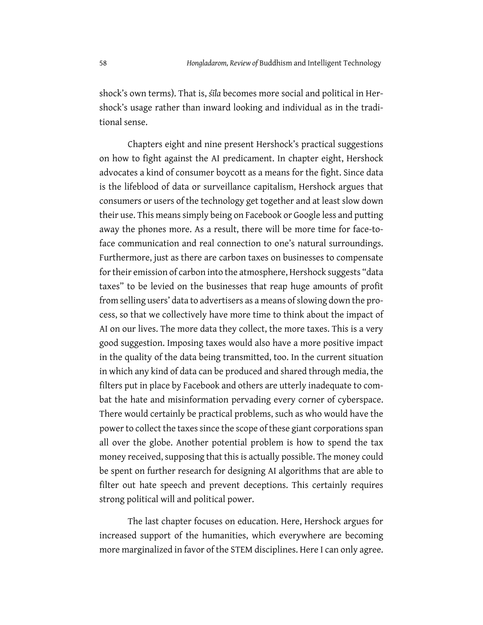shock's own terms). That is, *śīla* becomes more social and political in Hershock's usage rather than inward looking and individual as in the traditional sense.

Chapters eight and nine present Hershock's practical suggestions on how to fight against the AI predicament. In chapter eight, Hershock advocates a kind of consumer boycott as a means for the fight. Since data is the lifeblood of data or surveillance capitalism, Hershock argues that consumers or users of the technology get together and at least slow down their use. This means simply being on Facebook or Google less and putting away the phones more. As a result, there will be more time for face-toface communication and real connection to one's natural surroundings. Furthermore, just as there are carbon taxes on businesses to compensate for their emission of carbon into the atmosphere, Hershock suggests "data taxes" to be levied on the businesses that reap huge amounts of profit from selling users' data to advertisers as a means of slowing down the process, so that we collectively have more time to think about the impact of AI on our lives. The more data they collect, the more taxes. This is a very good suggestion. Imposing taxes would also have a more positive impact in the quality of the data being transmitted, too. In the current situation in which any kind of data can be produced and shared through media, the filters put in place by Facebook and others are utterly inadequate to combat the hate and misinformation pervading every corner of cyberspace. There would certainly be practical problems, such as who would have the power to collect the taxes since the scope of these giant corporations span all over the globe. Another potential problem is how to spend the tax money received, supposing that this is actually possible. The money could be spent on further research for designing AI algorithms that are able to filter out hate speech and prevent deceptions. This certainly requires strong political will and political power.

The last chapter focuses on education. Here, Hershock argues for increased support of the humanities, which everywhere are becoming more marginalized in favor of the STEM disciplines. Here I can only agree.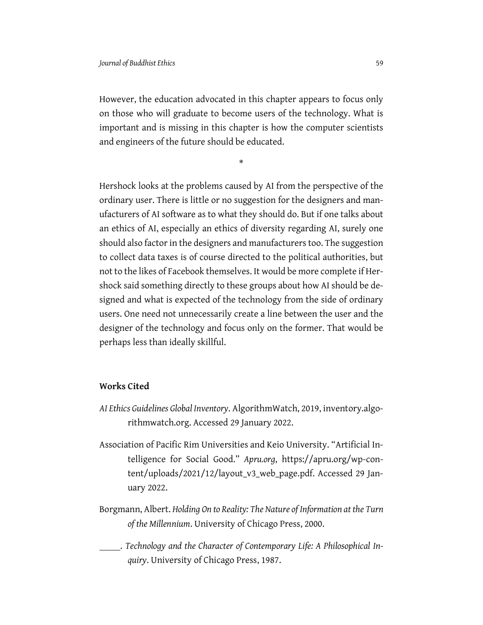However, the education advocated in this chapter appears to focus only on those who will graduate to become users of the technology. What is important and is missing in this chapter is how the computer scientists and engineers of the future should be educated.

\*

Hershock looks at the problems caused by AI from the perspective of the ordinary user. There is little or no suggestion for the designers and manufacturers of AI software as to what they should do. But if one talks about an ethics of AI, especially an ethics of diversity regarding AI, surely one should also factor in the designers and manufacturers too. The suggestion to collect data taxes is of course directed to the political authorities, but not to the likes of Facebook themselves. It would be more complete if Hershock said something directly to these groups about how AI should be designed and what is expected of the technology from the side of ordinary users. One need not unnecessarily create a line between the user and the designer of the technology and focus only on the former. That would be perhaps less than ideally skillful.

## **Works Cited**

- *AI Ethics Guidelines Global Inventory*. AlgorithmWatch, 2019, inventory.algorithmwatch.org. Accessed 29 January 2022.
- Association of Pacific Rim Universities and Keio University. "Artificial Intelligence for Social Good." *Apru.org*, https://apru.org/wp-content/uploads/2021/12/layout\_v3\_web\_page.pdf. Accessed 29 January 2022.
- Borgmann, Albert. *Holding On to Reality: The Nature of Information at the Turn of the Millennium*. University of Chicago Press, 2000.
- . *Technology and the Character of Contemporary Life: A Philosophical Inquiry*. University of Chicago Press, 1987.